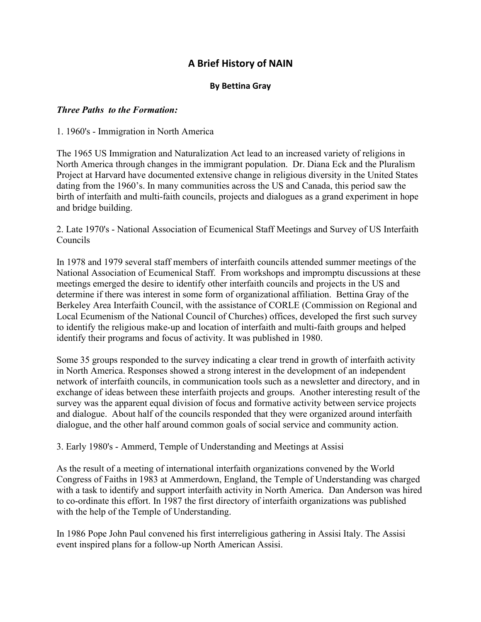# **A Brief History of NAIN**

## **By Bettina Gray**

### *Three Paths to the Formation:*

1. 1960's - Immigration in North America

The 1965 US Immigration and Naturalization Act lead to an increased variety of religions in North America through changes in the immigrant population. Dr. Diana Eck and the Pluralism Project at Harvard have documented extensive change in religious diversity in the United States dating from the 1960's. In many communities across the US and Canada, this period saw the birth of interfaith and multi-faith councils, projects and dialogues as a grand experiment in hope and bridge building.

2. Late 1970's - National Association of Ecumenical Staff Meetings and Survey of US Interfaith Councils

In 1978 and 1979 several staff members of interfaith councils attended summer meetings of the National Association of Ecumenical Staff. From workshops and impromptu discussions at these meetings emerged the desire to identify other interfaith councils and projects in the US and determine if there was interest in some form of organizational affiliation. Bettina Gray of the Berkeley Area Interfaith Council, with the assistance of CORLE (Commission on Regional and Local Ecumenism of the National Council of Churches) offices, developed the first such survey to identify the religious make-up and location of interfaith and multi-faith groups and helped identify their programs and focus of activity. It was published in 1980.

Some 35 groups responded to the survey indicating a clear trend in growth of interfaith activity in North America. Responses showed a strong interest in the development of an independent network of interfaith councils, in communication tools such as a newsletter and directory, and in exchange of ideas between these interfaith projects and groups. Another interesting result of the survey was the apparent equal division of focus and formative activity between service projects and dialogue. About half of the councils responded that they were organized around interfaith dialogue, and the other half around common goals of social service and community action.

3. Early 1980's - Ammerd, Temple of Understanding and Meetings at Assisi

As the result of a meeting of international interfaith organizations convened by the World Congress of Faiths in 1983 at Ammerdown, England, the Temple of Understanding was charged with a task to identify and support interfaith activity in North America. Dan Anderson was hired to co-ordinate this effort. In 1987 the first directory of interfaith organizations was published with the help of the Temple of Understanding.

In 1986 Pope John Paul convened his first interreligious gathering in Assisi Italy. The Assisi event inspired plans for a follow-up North American Assisi.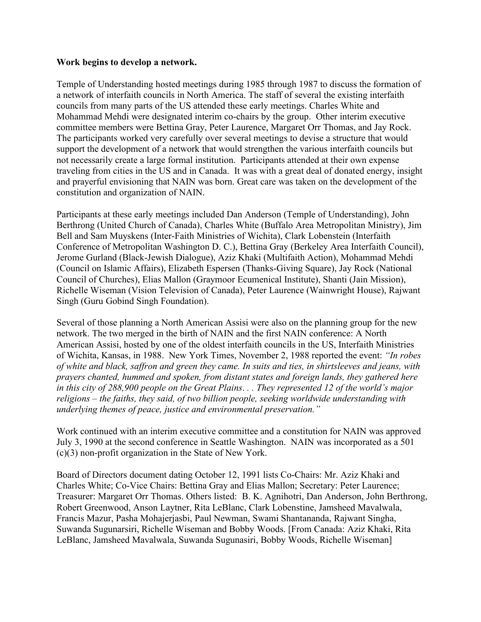#### **Work begins to develop a network.**

Temple of Understanding hosted meetings during 1985 through 1987 to discuss the formation of a network of interfaith councils in North America. The staff of several the existing interfaith councils from many parts of the US attended these early meetings. Charles White and Mohammad Mehdi were designated interim co-chairs by the group. Other interim executive committee members were Bettina Gray, Peter Laurence, Margaret Orr Thomas, and Jay Rock. The participants worked very carefully over several meetings to devise a structure that would support the development of a network that would strengthen the various interfaith councils but not necessarily create a large formal institution. Participants attended at their own expense traveling from cities in the US and in Canada. It was with a great deal of donated energy, insight and prayerful envisioning that NAIN was born. Great care was taken on the development of the constitution and organization of NAIN.

Participants at these early meetings included Dan Anderson (Temple of Understanding), John Berthrong (United Church of Canada), Charles White (Buffalo Area Metropolitan Ministry), Jim Bell and Sam Muyskens (Inter-Faith Ministries of Wichita), Clark Lobenstein (Interfaith Conference of Metropolitan Washington D. C.), Bettina Gray (Berkeley Area Interfaith Council), Jerome Gurland (Black-Jewish Dialogue), Aziz Khaki (Multifaith Action), Mohammad Mehdi (Council on Islamic Affairs), Elizabeth Espersen (Thanks-Giving Square), Jay Rock (National Council of Churches), Elias Mallon (Graymoor Ecumenical Institute), Shanti (Jain Mission), Richelle Wiseman (Vision Television of Canada), Peter Laurence (Wainwright House), Rajwant Singh (Guru Gobind Singh Foundation).

Several of those planning a North American Assisi were also on the planning group for the new network. The two merged in the birth of NAIN and the first NAIN conference: A North American Assisi, hosted by one of the oldest interfaith councils in the US, Interfaith Ministries of Wichita, Kansas, in 1988. New York Times, November 2, 1988 reported the event: *"In robes of white and black, saf ron and green they came. In suitsand ties, in shirtsleeves and jeans, with prayers chanted, hummed and spoken, from distant states and foreign lands, they gathered here* in this city of 288,900 people on the Great Plains... They represented 12 of the world's major *religions – the faiths, they said, oftwo billion people, seeking worldwide understanding with underlying themes of peace, justice and environmental preservation."*

Work continued with an interim executive committee and a constitution for NAIN was approved July 3, 1990 at the second conference in Seattle Washington. NAIN was incorporated as a 501 (c)(3) non-profit organization in the State of New York.

Board of Directors document dating October 12, 1991 lists Co-Chairs: Mr. Aziz Khaki and Charles White; Co-Vice Chairs: Bettina Gray and Elias Mallon; Secretary: Peter Laurence; Treasurer: Margaret Orr Thomas. Others listed: B. K. Agnihotri, Dan Anderson, John Berthrong, Robert Greenwood, Anson Laytner, Rita LeBlanc, Clark Lobenstine, Jamsheed Mavalwala, Francis Mazur, Pasha Mohajerjasbi, Paul Newman, Swami Shantananda, Rajwant Singha, Suwanda Sugunarsiri, Richelle Wiseman and Bobby Woods. [From Canada: Aziz Khaki, Rita LeBlanc, Jamsheed Mavalwala, Suwanda Sugunasiri, Bobby Woods, Richelle Wiseman]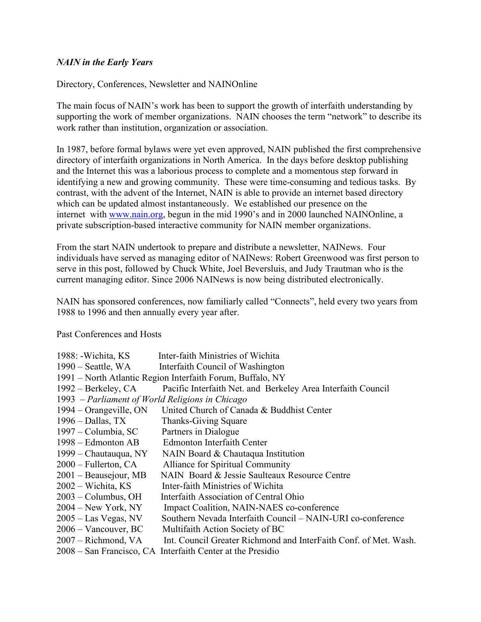### *NAIN in the Early Years*

Directory, Conferences, Newsletter and NAINOnline

The main focus of NAIN's work has been to support the growth of interfaith understanding by supporting the work of member organizations. NAIN chooses the term "network" to describe its work rather than institution, organization or association.

In 1987, before formal bylaws were yet even approved, NAIN published the first comprehensive directory of interfaith organizations in North America. In the days before desktop publishing and the Internet this was a laborious process to complete and a momentous step forward in identifying a new and growing community. These were time-consuming and tedious tasks. By contrast, with the advent of the Internet, NAIN is able to provide an internet based directory which can be updated almost instantaneously. We established our presence on the internet with [www.nain.org,](http://www.nain.org/) begun in the mid 1990's and in 2000 launched NAINOnline, a private subscription-based interactive community for NAIN member organizations.

From the start NAIN undertook to prepare and distribute a newsletter, NAINews. Four individuals have served as managing editor of NAINews: Robert Greenwood was first person to serve in this post, followed by Chuck White, Joel Beversluis, and Judy Trautman who is the current managing editor. Since 2006 NAINews is now being distributed electronically.

NAIN has sponsored conferences, now familiarlycalled "Connects", held every two years from 1988 to 1996 and then annually every year after.

Past Conferences and Hosts

|                                                            | 1988: -Wichita, KS                 | Inter-faith Ministries of Wichita                                |  |
|------------------------------------------------------------|------------------------------------|------------------------------------------------------------------|--|
|                                                            | $1990$ – Seattle, WA               | Interfaith Council of Washington                                 |  |
| 1991 – North Atlantic Region Interfaith Forum, Buffalo, NY |                                    |                                                                  |  |
|                                                            | 1992 – Berkeley, CA                | Pacific Interfaith Net. and Berkeley Area Interfaith Council     |  |
| 1993 – Parliament of World Religions in Chicago            |                                    |                                                                  |  |
|                                                            | $1994 - Orangeville, ON$           | United Church of Canada & Buddhist Center                        |  |
|                                                            | $1996 - Dallas, TX$                | Thanks-Giving Square                                             |  |
|                                                            | 1997 – Columbia, SC                | Partners in Dialogue                                             |  |
|                                                            | 1998 – Edmonton AB                 | <b>Edmonton Interfaith Center</b>                                |  |
|                                                            | 1999 – Chautauqua, NY              | NAIN Board & Chautaqua Institution                               |  |
|                                                            | $2000$ – Fullerton, CA             | Alliance for Spiritual Community                                 |  |
|                                                            | 2001 – Beausejour, MB              | NAIN Board & Jessie Saulteaux Resource Centre                    |  |
|                                                            | $2002 - \text{Wichita}, \text{KS}$ | Inter-faith Ministries of Wichita                                |  |
|                                                            | $2003$ – Columbus, OH              | Interfaith Association of Central Ohio                           |  |
|                                                            | $2004 - New York, NY$              | Impact Coalition, NAIN-NAES co-conference                        |  |
|                                                            | $2005 -$ Las Vegas, NV             | Southern Nevada Interfaith Council – NAIN-URI co-conference      |  |
|                                                            | 2006 – Vancouver, BC               | Multifaith Action Society of BC                                  |  |
|                                                            | 2007 – Richmond, VA                | Int. Council Greater Richmond and InterFaith Conf. of Met. Wash. |  |
|                                                            |                                    | 2008 – San Francisco, CA Interfaith Center at the Presidio       |  |